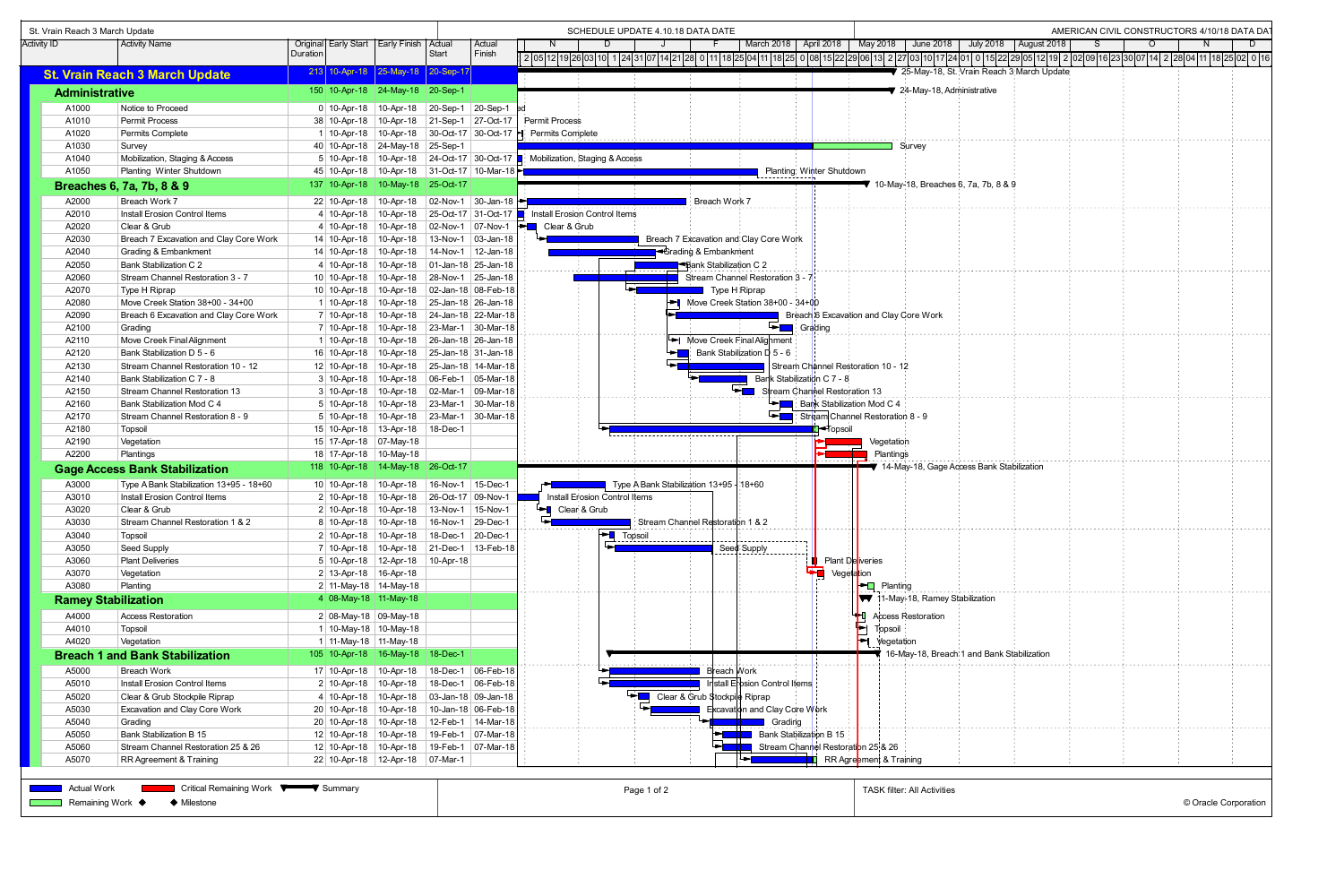| St. Vrain Reach 3 March Update |                                                    |          |                                 |                                                  |              |                          | SCHEDULE UPDATE 4.10.18 DATA DATE                                                                                                                                                                | AMERICAN CIVIL CONSTRUCTORS 4/10/18 DATA DAT |  |  |  |  |  |  |  |  |
|--------------------------------|----------------------------------------------------|----------|---------------------------------|--------------------------------------------------|--------------|--------------------------|--------------------------------------------------------------------------------------------------------------------------------------------------------------------------------------------------|----------------------------------------------|--|--|--|--|--|--|--|--|
| <b>Activity ID</b>             | <b>Activity Name</b>                               |          |                                 | Original Early Start   Early Finish              | Actual       | Actual                   | March 2018  <br>April 2018<br>May 2018<br>June 2018<br><b>July 2018</b><br>August 2018                                                                                                           | $\Omega$<br>D.                               |  |  |  |  |  |  |  |  |
|                                |                                                    | Duration |                                 |                                                  | Start        | Finish                   | 2  05 12 19 26 03 10  1  24 31 07 <br> 14 21 28  0  11 18 25 04 11 18 25  0  08 15 22 29 06 13  2  27 03 10 17 24 01  0  15 22 29 05 12 19  2  02 09 16 23 30 07 14  2  28 04 11 18 25 02  0  16 |                                              |  |  |  |  |  |  |  |  |
|                                | <b>St. Vrain Reach 3 March Update</b>              |          |                                 | 213 10-Apr-18 25-May-18 20-Sep-17                |              |                          | 25-May-18, St. Vrain Reach 3 March Update                                                                                                                                                        |                                              |  |  |  |  |  |  |  |  |
|                                |                                                    |          |                                 |                                                  |              |                          |                                                                                                                                                                                                  |                                              |  |  |  |  |  |  |  |  |
| <b>Administrative</b>          |                                                    |          |                                 | 150 10-Apr-18 24-May-18 20-Sep-1                 |              |                          | ₹ 24-May-18, Administrative                                                                                                                                                                      |                                              |  |  |  |  |  |  |  |  |
| A1000                          | Notice to Proceed                                  |          |                                 | 0 10-Apr-18 10-Apr-18 20-Sep-1                   |              | $20-Sep-1$               |                                                                                                                                                                                                  |                                              |  |  |  |  |  |  |  |  |
| A1010                          | Permit Process                                     |          |                                 | 38 10-Apr-18 10-Apr-18 21-Sep-1                  |              | 27-Oct-17                | <b>Permit Process</b>                                                                                                                                                                            |                                              |  |  |  |  |  |  |  |  |
| A1020                          | Permits Complete                                   |          |                                 | 1 10-Apr-18 10-Apr-18 30-Oct-17 30-Oct-17 1      |              |                          | Permits Complete                                                                                                                                                                                 |                                              |  |  |  |  |  |  |  |  |
| A1030                          | Survey                                             |          |                                 | 40 10-Apr-18 24-May-18 25-Sep-1                  |              |                          | Survey                                                                                                                                                                                           |                                              |  |  |  |  |  |  |  |  |
| A1040                          | Mobilization, Staging & Access                     |          |                                 | 5 10-Apr-18 10-Apr-18 24-Oct-17 30-Oct-17        |              |                          | Mobilization, Staging & Access                                                                                                                                                                   |                                              |  |  |  |  |  |  |  |  |
| A1050                          | Planting Winter Shutdown                           |          |                                 | 45 10-Apr-18 10-Apr-18 31-Oct-17 10-Mar-18       |              |                          | Planting Winter Shutdown                                                                                                                                                                         |                                              |  |  |  |  |  |  |  |  |
|                                | Breaches 6, 7a, 7b, 8 & 9                          |          |                                 | 137 10-Apr-18 10-May-18 25-Oct-17                |              |                          | ₹ 10-May-18, Breaches 6, 7a, 7b, 8 & 9                                                                                                                                                           |                                              |  |  |  |  |  |  |  |  |
| A2000                          | Breach Work 7                                      |          |                                 | 22 10-Apr-18 10-Apr-18 02-Nov-1 30-Jan-18        |              |                          | Breach Work 7                                                                                                                                                                                    |                                              |  |  |  |  |  |  |  |  |
| A2010                          | Install Erosion Control Items                      |          |                                 |                                                  |              |                          | 4 10-Apr-18 10-Apr-18 25-Oct-17 31-Oct-17 It Install Erosion Control Items                                                                                                                       |                                              |  |  |  |  |  |  |  |  |
| A2020                          | Clear & Grub                                       |          |                                 | 4 10-Apr-18 10-Apr-18 02-Nov-1                   |              | 07-Nov-1                 | <b>ED</b> Clear & Grub                                                                                                                                                                           |                                              |  |  |  |  |  |  |  |  |
| A2030                          | Breach 7 Excavation and Clay Core Work             |          | 14 10-Apr-18 10-Apr-18          |                                                  | 13-Nov-1     | $ 03 - Jan - 18 $        | Breach 7 Excavation and Clay Core Work                                                                                                                                                           |                                              |  |  |  |  |  |  |  |  |
| A2040                          | Grading & Embankment                               |          | 14 10-Apr-18 10-Apr-18          |                                                  | 14-Nov-1     | 12-Jan-18                | <b>B</b> Crading & Embankment                                                                                                                                                                    |                                              |  |  |  |  |  |  |  |  |
| A2050                          | Bank Stabilization C 2                             |          |                                 | 4 10-Apr-18 10-Apr-18 01-Jan-18 25-Jan-18        |              |                          | Bank Stabilization C 2                                                                                                                                                                           |                                              |  |  |  |  |  |  |  |  |
| A2060                          | Stream Channel Restoration 3 - 7                   |          | 10 10-Apr-18 10-Apr-18          |                                                  | 28-Nov-1     | 25-Jan-18                | Stream Channel Restoration 3 -                                                                                                                                                                   |                                              |  |  |  |  |  |  |  |  |
| A2070                          | Type H Riprap                                      |          |                                 | 10 10-Apr-18   10-Apr-18   02-Jan-18   08-Feb-18 |              |                          | Type H Riprap                                                                                                                                                                                    |                                              |  |  |  |  |  |  |  |  |
| A2080                          | Move Creek Station 38+00 - 34+00                   |          |                                 | 1 10-Apr-18 10-Apr-18 25-Jan-18 26-Jan-18        |              |                          | Move Creek Station $38+00 - 34+00$                                                                                                                                                               |                                              |  |  |  |  |  |  |  |  |
| A2090                          | Breach 6 Excavation and Clay Core Work             |          |                                 | 7 10-Apr-18 10-Apr-18 24-Jan-18 22-Mar-18        |              |                          | Breach 6 Excavation and Clay Core Work                                                                                                                                                           |                                              |  |  |  |  |  |  |  |  |
| A2100                          | Grading                                            |          |                                 | 7 10-Apr-18 10-Apr-18 23-Mar-1 30-Mar-18         |              |                          | Grading<br>►⊡                                                                                                                                                                                    |                                              |  |  |  |  |  |  |  |  |
| A2110                          | Move Creek Final Alignment                         |          |                                 | 1 10-Apr-18 10-Apr-18 26-Jan-18 26-Jan-18        |              |                          | $\blacktriangleright$ Move Creek Final Alighment                                                                                                                                                 |                                              |  |  |  |  |  |  |  |  |
| A2120                          | Bank Stabilization D 5 - 6                         |          |                                 | 16 10-Apr-18 10-Apr-18 25-Jan-18 31-Jan-18       |              |                          | $\blacktriangleright$ Bank Stabilization D 5 - 6                                                                                                                                                 |                                              |  |  |  |  |  |  |  |  |
| A2130                          | Stream Channel Restoration 10 - 12                 |          |                                 | 12 10-Apr-18 10-Apr-18 25-Jan-18 14-Mar-18       |              |                          | Stream Channel Restoration 10 - 12                                                                                                                                                               |                                              |  |  |  |  |  |  |  |  |
| A2140                          | Bank Stabilization C 7 - 8                         |          |                                 | 3 10-Apr-18 10-Apr-18 06-Feb-1                   |              | 05-Mar-18                | Bank Stabilization C 7 - 8                                                                                                                                                                       |                                              |  |  |  |  |  |  |  |  |
| A2150                          | Stream Channel Restoration 13                      |          |                                 | 3 10-Apr-18 10-Apr-18 02-Mar-1                   |              | 09-Mar-18                | Stream Channel Restoration 13                                                                                                                                                                    |                                              |  |  |  |  |  |  |  |  |
| A2160                          | Bank Stabilization Mod C 4                         |          |                                 | 5 10-Apr-18 10-Apr-18 23-Mar-1                   |              | 30-Mar-18                | Bank Stabilization Mod C 4                                                                                                                                                                       |                                              |  |  |  |  |  |  |  |  |
| A2170                          | Stream Channel Restoration 8 - 9                   |          | $5 10 - Apr - 18 10 - Apr - 18$ |                                                  | 23-Mar-1     | 30-Mar-18                | $\blacktriangleright$ $\blacksquare$<br>Stream Channel Restoration 8 - 9                                                                                                                         |                                              |  |  |  |  |  |  |  |  |
| A2180                          | Topsoil                                            |          |                                 | 15 10-Apr-18 13-Apr-18 18-Dec-1                  |              |                          | <mark>∄l</mark> <del>=</del> †opsoil                                                                                                                                                             |                                              |  |  |  |  |  |  |  |  |
| A2190                          | Vegetation                                         |          | 15 17-Apr-18 07-May-18          |                                                  |              |                          | Vegetation                                                                                                                                                                                       |                                              |  |  |  |  |  |  |  |  |
| A2200                          | Plantings                                          |          | 18 17-Apr-18 10-May-18          |                                                  |              |                          | Plantings                                                                                                                                                                                        |                                              |  |  |  |  |  |  |  |  |
|                                |                                                    |          |                                 | 118 10-Apr-18 14-May-18 26-Oct-17                |              |                          | ₹ 14-May-18, Gage Access Bank Stabilization                                                                                                                                                      |                                              |  |  |  |  |  |  |  |  |
|                                | <b>Gage Access Bank Stabilization</b>              |          |                                 |                                                  |              |                          |                                                                                                                                                                                                  |                                              |  |  |  |  |  |  |  |  |
| A3000                          | Type A Bank Stabilization 13+95 - 18+60            |          | 10 10-Apr-18 10-Apr-18          |                                                  | $ 16-Nov-1 $ | 15-Dec-1                 | Type A Bank Stabilization 13+95   18+60                                                                                                                                                          |                                              |  |  |  |  |  |  |  |  |
| A3010                          | Install Erosion Control Items                      |          |                                 | 2 10-Apr-18 10-Apr-18 26-Oct-17                  |              | 09-Nov-1                 | Install Erosion Control Items                                                                                                                                                                    |                                              |  |  |  |  |  |  |  |  |
| A3020                          | Clear & Grub                                       |          |                                 | 2 10-Apr-18 10-Apr-18 13-Nov-1                   |              | 15-Nov-1                 | Clear & Grub                                                                                                                                                                                     |                                              |  |  |  |  |  |  |  |  |
| A3030                          | Stream Channel Restoration 1 & 2                   |          | 8 10-Apr-18 10-Apr-18           |                                                  | $ 16-Nov-1$  | 29-Dec-1                 | Stream Channel Restoration 1 & 2                                                                                                                                                                 |                                              |  |  |  |  |  |  |  |  |
| A3040                          | Topsoil                                            |          | $2$ 10-Apr-18   10-Apr-18       |                                                  | 18-Dec-1     | 20-Dec-1                 | <b>PL</b> Topsoil <b>CONSULARY TO BE THE TOPSON</b>                                                                                                                                              |                                              |  |  |  |  |  |  |  |  |
| A3050                          | Seed Supply                                        |          |                                 | 7 10-Apr-18 10-Apr-18 21-Dec-1                   |              | 13-Feb-18                | Seed Supply                                                                                                                                                                                      |                                              |  |  |  |  |  |  |  |  |
| A3060                          | <b>Plant Deliveries</b>                            |          |                                 | 5 10-Apr-18 12-Apr-18 10-Apr-18                  |              |                          | Plant Deliveries                                                                                                                                                                                 |                                              |  |  |  |  |  |  |  |  |
| A3070                          | Vegetation                                         |          | 2 13-Apr-18 16-Apr-18           |                                                  |              |                          | <b>For Vegetation</b>                                                                                                                                                                            |                                              |  |  |  |  |  |  |  |  |
| A3080                          | Planting                                           |          | 2 11-May-18 14-May-18           |                                                  |              |                          | $\vdash$ Planting                                                                                                                                                                                |                                              |  |  |  |  |  |  |  |  |
| <b>Ramey Stabilization</b>     |                                                    |          | $4 08-May-18 11-May-18$         |                                                  |              |                          | <b>W</b> 11-May-18, Ramey Stabilization                                                                                                                                                          |                                              |  |  |  |  |  |  |  |  |
| A4000                          | <b>Access Restoration</b>                          |          | 2 08-May-18 09-May-18           |                                                  |              |                          | <b>Access Restoration</b>                                                                                                                                                                        |                                              |  |  |  |  |  |  |  |  |
| A4010                          | Topsoil                                            |          |                                 | 1 10-May-18 10-May-18                            |              |                          | Ŀ<br>Topsoil                                                                                                                                                                                     |                                              |  |  |  |  |  |  |  |  |
| A4020                          | Vegetation                                         |          |                                 | 1 11-May-18 11-May-18                            |              |                          | ы<br>Vegetation                                                                                                                                                                                  |                                              |  |  |  |  |  |  |  |  |
|                                | <b>Breach 1 and Bank Stabilization</b>             |          |                                 | 105 10-Apr-18 16-May-18 18-Dec-1                 |              |                          | 16-May-18, Breach 1 and Bank Stabilization                                                                                                                                                       |                                              |  |  |  |  |  |  |  |  |
| A5000                          | Breach Work                                        |          | 17 10-Apr-18 10-Apr-18          |                                                  | $ 18$ -Dec-1 | 06-Feb-18                | Breach Work                                                                                                                                                                                      |                                              |  |  |  |  |  |  |  |  |
| A5010                          | Install Erosion Control Items                      |          |                                 |                                                  |              | $ 06 - \text{Feb} - 18 $ | Install Erbsion Control Items                                                                                                                                                                    |                                              |  |  |  |  |  |  |  |  |
| A5020                          |                                                    |          |                                 | 2 10-Apr-18 10-Apr-18 18-Dec-1                   |              |                          | Clear & Grub \$tockpile Riprap                                                                                                                                                                   |                                              |  |  |  |  |  |  |  |  |
|                                | Clear & Grub Stockpile Riprap                      |          |                                 | 4 10-Apr-18 10-Apr-18 03-Jan-18 09-Jan-18        |              |                          | Excavation and Clay Core Work                                                                                                                                                                    |                                              |  |  |  |  |  |  |  |  |
| A5030                          | <b>Excavation and Clay Core Work</b>               |          |                                 | 20 10-Apr-18 10-Apr-18 10-Jan-18 06-Feb-18       |              |                          |                                                                                                                                                                                                  |                                              |  |  |  |  |  |  |  |  |
| A5040                          | Grading                                            |          |                                 | 20 10-Apr-18 10-Apr-18 12-Feb-1                  |              | 14-Mar-18                | Grading                                                                                                                                                                                          |                                              |  |  |  |  |  |  |  |  |
| A5050                          | Bank Stabilization B 15                            |          |                                 | 12 10-Apr-18 10-Apr-18 19-Feb-1                  |              | 07-Mar-18                | Bank Stabilization B 15                                                                                                                                                                          |                                              |  |  |  |  |  |  |  |  |
| A5060                          | Stream Channel Restoration 25 & 26                 |          |                                 | 12 10-Apr-18 10-Apr-18 19-Feb-1                  |              | 07-Mar-18                | Stream Channel Restoration 25 & 26                                                                                                                                                               |                                              |  |  |  |  |  |  |  |  |
| A5070                          | RR Agreement & Training                            |          |                                 | 22 10-Apr-18 12-Apr-18 07-Mar-1                  |              |                          | RR Agreement & Training                                                                                                                                                                          |                                              |  |  |  |  |  |  |  |  |
|                                |                                                    |          |                                 |                                                  |              |                          |                                                                                                                                                                                                  |                                              |  |  |  |  |  |  |  |  |
| <b>Actual Work</b>             | Critical Remaining Work <b>William Web Summary</b> |          |                                 |                                                  |              |                          | Page 1 of 2<br><b>TASK filter: All Activities</b>                                                                                                                                                |                                              |  |  |  |  |  |  |  |  |
| Remaining Work $\blacklozenge$ | ♦ Milestone                                        |          |                                 |                                                  |              |                          |                                                                                                                                                                                                  | © Oracle Corporation                         |  |  |  |  |  |  |  |  |
|                                |                                                    |          |                                 |                                                  |              |                          |                                                                                                                                                                                                  |                                              |  |  |  |  |  |  |  |  |